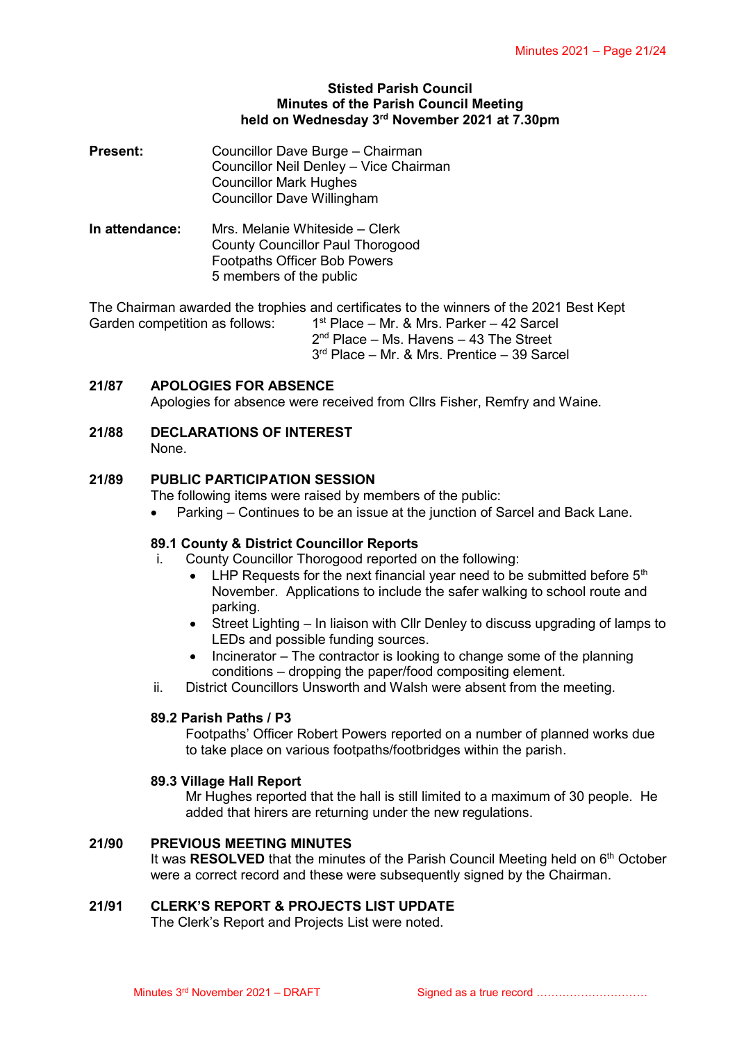#### **Stisted Parish Council Minutes of the Parish Council Meeting held on Wednesday 3rd November 2021 at 7.30pm**

| <b>Present:</b> | Councillor Dave Burge - Chairman       |
|-----------------|----------------------------------------|
|                 | Councillor Neil Denley - Vice Chairman |
|                 | <b>Councillor Mark Hughes</b>          |
|                 | Councillor Dave Willingham             |

**In attendance:** Mrs. Melanie Whiteside – Clerk County Councillor Paul Thorogood Footpaths Officer Bob Powers 5 members of the public

The Chairman awarded the trophies and certificates to the winners of the 2021 Best Kept Garden competition as follows: 1  $1<sup>st</sup>$  Place – Mr. & Mrs. Parker – 42 Sarcel 2<sup>nd</sup> Place - Ms. Havens - 43 The Street 3 rd Place – Mr. & Mrs. Prentice – 39 Sarcel

## **21/87 APOLOGIES FOR ABSENCE**

Apologies for absence were received from Cllrs Fisher, Remfry and Waine.

**21/88 DECLARATIONS OF INTEREST**

None.

## **21/89 PUBLIC PARTICIPATION SESSION**

The following items were raised by members of the public:

Parking – Continues to be an issue at the junction of Sarcel and Back Lane.

#### **89.1 County & District Councillor Reports**

- i. County Councillor Thorogood reported on the following:
	- $\bullet$  LHP Requests for the next financial year need to be submitted before  $5<sup>th</sup>$ November. Applications to include the safer walking to school route and parking.
	- Street Lighting In liaison with Cllr Denley to discuss upgrading of lamps to LEDs and possible funding sources.
	- $\bullet$  Incinerator The contractor is looking to change some of the planning conditions – dropping the paper/food compositing element.
- ii. District Councillors Unsworth and Walsh were absent from the meeting.

#### **89.2 Parish Paths / P3**

Footpaths' Officer Robert Powers reported on a number of planned works due to take place on various footpaths/footbridges within the parish.

#### **89.3 Village Hall Report**

Mr Hughes reported that the hall is still limited to a maximum of 30 people. He added that hirers are returning under the new regulations.

#### **21/90 PREVIOUS MEETING MINUTES**

It was RESOLVED that the minutes of the Parish Council Meeting held on 6<sup>th</sup> October were a correct record and these were subsequently signed by the Chairman.

#### **21/91 CLERK'S REPORT & PROJECTS LIST UPDATE**

The Clerk's Report and Projects List were noted.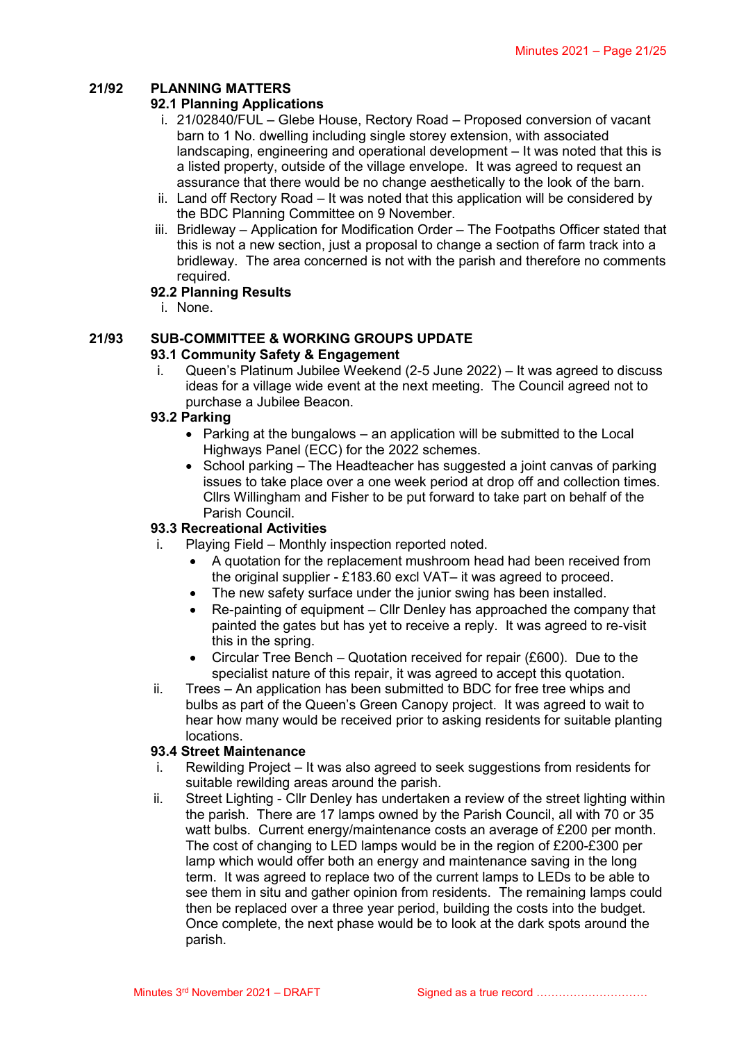# **21/92 PLANNING MATTERS**

# **92.1 Planning Applications**

- i. 21/02840/FUL Glebe House, Rectory Road Proposed conversion of vacant barn to 1 No. dwelling including single storey extension, with associated landscaping, engineering and operational development – It was noted that this is a listed property, outside of the village envelope. It was agreed to request an assurance that there would be no change aesthetically to the look of the barn.
- ii. Land off Rectory Road It was noted that this application will be considered by the BDC Planning Committee on 9 November.
- iii. Bridleway Application for Modification Order The Footpaths Officer stated that this is not a new section, just a proposal to change a section of farm track into a bridleway. The area concerned is not with the parish and therefore no comments required.

## **92.2 Planning Results**

i. None.

# **21/93 SUB-COMMITTEE & WORKING GROUPS UPDATE**

## **93.1 Community Safety & Engagement**

i. Queen's Platinum Jubilee Weekend (2-5 June 2022) – It was agreed to discuss ideas for a village wide event at the next meeting. The Council agreed not to purchase a Jubilee Beacon.

## **93.2 Parking**

- Parking at the bungalows an application will be submitted to the Local Highways Panel (ECC) for the 2022 schemes.
- School parking The Headteacher has suggested a joint canvas of parking issues to take place over a one week period at drop off and collection times. Cllrs Willingham and Fisher to be put forward to take part on behalf of the Parish Council.

# **93.3 Recreational Activities**

- i. Playing Field Monthly inspection reported noted.
	- A quotation for the replacement mushroom head had been received from the original supplier - £183.60 excl VAT– it was agreed to proceed.
	- The new safety surface under the junior swing has been installed.
	- Re-painting of equipment Cllr Denley has approached the company that painted the gates but has yet to receive a reply. It was agreed to re-visit this in the spring.
	- Circular Tree Bench Quotation received for repair (£600). Due to the specialist nature of this repair, it was agreed to accept this quotation.
- ii. Trees An application has been submitted to BDC for free tree whips and bulbs as part of the Queen's Green Canopy project. It was agreed to wait to hear how many would be received prior to asking residents for suitable planting locations.

## **93.4 Street Maintenance**

- i. Rewilding Project It was also agreed to seek suggestions from residents for suitable rewilding areas around the parish.
- ii. Street Lighting Cllr Denley has undertaken a review of the street lighting within the parish. There are 17 lamps owned by the Parish Council, all with 70 or 35 watt bulbs. Current energy/maintenance costs an average of £200 per month. The cost of changing to LED lamps would be in the region of £200-£300 per lamp which would offer both an energy and maintenance saving in the long term. It was agreed to replace two of the current lamps to LEDs to be able to see them in situ and gather opinion from residents. The remaining lamps could then be replaced over a three year period, building the costs into the budget. Once complete, the next phase would be to look at the dark spots around the parish.